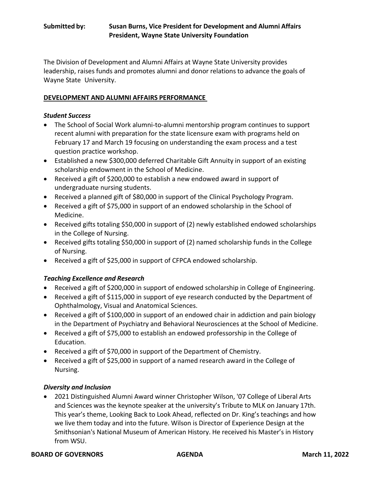# **Submitted by: Susan Burns, Vice President for Development and Alumni Affairs President, Wayne State University Foundation**

The Division of Development and Alumni Affairs at Wayne State University provides leadership, raises funds and promotes alumni and donor relations to advance the goals of Wayne State University.

### **DEVELOPMENT AND ALUMNI AFFAIRS PERFORMANCE**

### *Student Success*

- The School of Social Work alumni-to-alumni mentorship program continues to support recent alumni with preparation for the state licensure exam with programs held on February 17 and March 19 focusing on understanding the exam process and a test question practice workshop.
- Established a new \$300,000 deferred Charitable Gift Annuity in support of an existing scholarship endowment in the School of Medicine.
- Received a gift of \$200,000 to establish a new endowed award in support of undergraduate nursing students.
- Received a planned gift of \$80,000 in support of the Clinical Psychology Program.
- Received a gift of \$75,000 in support of an endowed scholarship in the School of Medicine.
- Received gifts totaling \$50,000 in support of (2) newly established endowed scholarships in the College of Nursing.
- Received gifts totaling \$50,000 in support of (2) named scholarship funds in the College of Nursing.
- Received a gift of \$25,000 in support of CFPCA endowed scholarship.

# *Teaching Excellence and Research*

- Received a gift of \$200,000 in support of endowed scholarship in College of Engineering.
- Received a gift of \$115,000 in support of eye research conducted by the Department of Ophthalmology, Visual and Anatomical Sciences.
- Received a gift of \$100,000 in support of an endowed chair in addiction and pain biology in the Department of Psychiatry and Behavioral Neurosciences at the School of Medicine.
- Received a gift of \$75,000 to establish an endowed professorship in the College of Education.
- Received a gift of \$70,000 in support of the Department of Chemistry.
- Received a gift of \$25,000 in support of a named research award in the College of Nursing.

### *Diversity and Inclusion*

• 2021 Distinguished Alumni Award winner Christopher Wilson, '07 College of Liberal Arts and Sciences was the keynote speaker at the university's Tribute to MLK on January 17th. This year's theme, Looking Back to Look Ahead, reflected on Dr. King's teachings and how we live them today and into the future. Wilson is Director of Experience Design at the Smithsonian's National Museum of American History. He received his Master's in History from WSU.

#### **BOARD OF GOVERNORS**  AGENDA **March 11, 2022**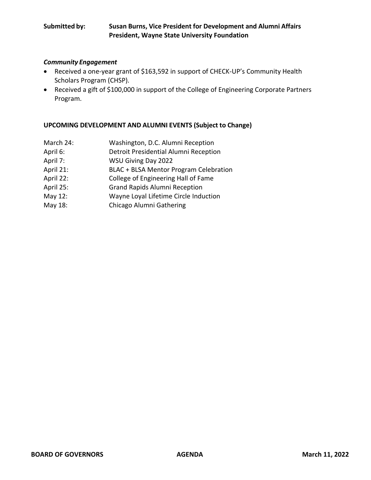# **Submitted by: Susan Burns, Vice President for Development and Alumni Affairs President, Wayne State University Foundation**

### *Community Engagement*

- Received a one-year grant of \$163,592 in support of CHECK-UP's Community Health Scholars Program (CHSP).
- Received a gift of \$100,000 in support of the College of Engineering Corporate Partners Program.

# **UPCOMING DEVELOPMENT AND ALUMNI EVENTS (Subject to Change)**

| March 24: | Washington, D.C. Alumni Reception      |
|-----------|----------------------------------------|
| April 6:  | Detroit Presidential Alumni Reception  |
| April 7:  | WSU Giving Day 2022                    |
| April 21: | BLAC + BLSA Mentor Program Celebration |
| April 22: | College of Engineering Hall of Fame    |
| April 25: | <b>Grand Rapids Alumni Reception</b>   |
| May 12:   | Wayne Loyal Lifetime Circle Induction  |
| May 18:   | Chicago Alumni Gathering               |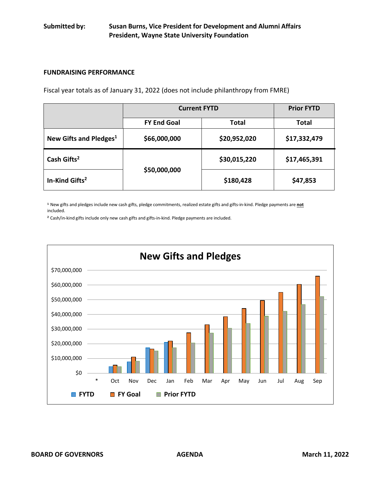### **FUNDRAISING PERFORMANCE**

Fiscal year totals as of January 31, 2022 (does not include philanthropy from FMRE)

|                                    | <b>Current FYTD</b> |              | <b>Prior FYTD</b> |
|------------------------------------|---------------------|--------------|-------------------|
|                                    | <b>FY End Goal</b>  | Total        | <b>Total</b>      |
| New Gifts and Pledges <sup>1</sup> | \$66,000,000        | \$20,952,020 | \$17,332,479      |
| Cash Gifts <sup>2</sup>            | \$50,000,000        | \$30,015,220 | \$17,465,391      |
| In-Kind Gifts <sup>2</sup>         |                     | \$180,428    | \$47,853          |

**<sup>1</sup>**New gifts and pledges include new cash gifts, pledge commitments, realized estate gifts and gifts-in-kind. Pledge payments are **not** included.

**<sup>2</sup>**Cash/in-kind gifts include only new cash gifts and gifts-in-kind. Pledge payments are included.